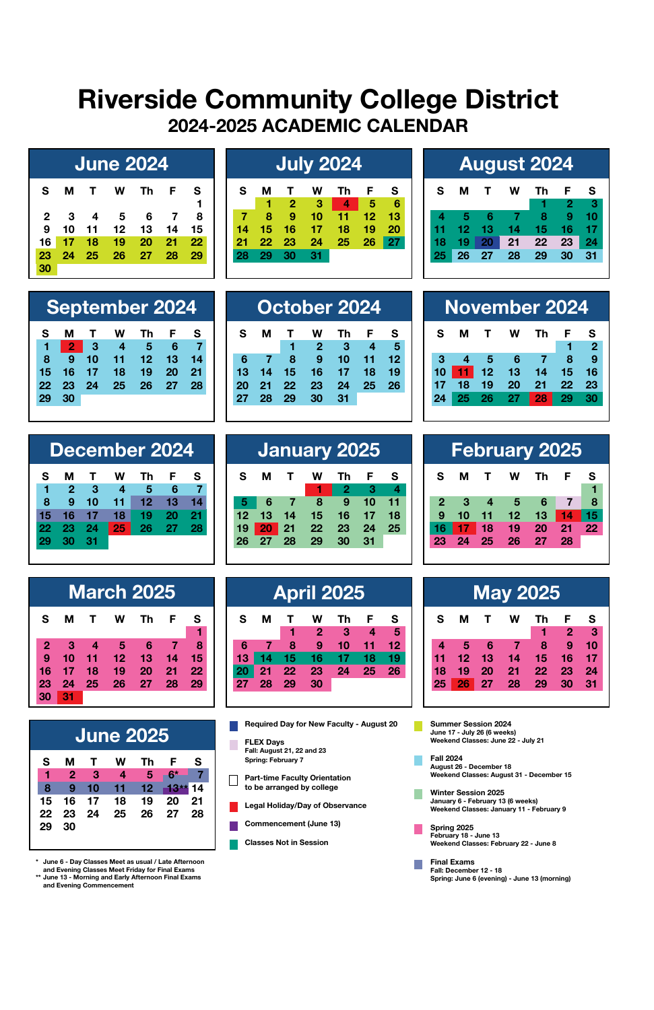## **Riverside Community College District 2024-2025 ACADEMIC CALENDAR**

|              |    |    | <b>June 2024</b> |    |    |    |
|--------------|----|----|------------------|----|----|----|
| s            | м  | т  | w                | Th | F  | s  |
| $\mathbf{2}$ | 3  | 4  | 5                | 6  |    | 8  |
| 9            | 10 | 11 | 12               | 13 | 14 | 15 |
| 16           | 17 | 18 | 19               | 20 | 21 | 22 |
| 23           | 24 | 25 | 26               | 27 | 28 | 29 |
| 30           |    |    |                  |    |    |    |

| <b>June 2024'</b> |    |    |    |     |    |    |    | July 2024       |    |    |                 |   |    |    | <b>August 2024</b> |    |     |
|-------------------|----|----|----|-----|----|----|----|-----------------|----|----|-----------------|---|----|----|--------------------|----|-----|
|                   | W  | Th | -F | - S | s  | M  |    | w               | Th |    |                 | s | М  |    | W                  | Th | - F |
|                   |    |    |    |     |    |    |    | з               | 4  | 5  | 6               |   |    |    |                    |    | 2   |
|                   | 5  |    |    |     |    |    | 9  | 10.             |    | 12 | 13              |   |    |    |                    | я. | -9  |
| 11                | 12 | 13 | 14 | 15  |    |    | 16 |                 | 18 | 19 | 20              |   |    |    |                    |    | 16  |
| 18                | 19 | 20 | 21 | 22  | 21 | 22 | 23 | 24              | 25 | 26 | 27 <sub>h</sub> |   | 19 |    | 21                 | 22 | 23  |
| 25                | 26 | 27 | 28 | 29  | 28 | 29 | 30 | 31 <sub>1</sub> |    |    |                 |   |    | 27 | 28                 | 29 | 30  |
|                   |    |    |    |     |    |    |    |                 |    |    |                 |   |    |    |                    |    |     |

|    |    |              | <b>August 2024</b> |    |    |    |
|----|----|--------------|--------------------|----|----|----|
| s  | м  | $\mathbf{T}$ | w                  | Тh | F  | s  |
|    |    |              |                    |    | 2  | -3 |
|    | Þ  | - 6          |                    | 8  | 9  | 10 |
| 11 | 12 | 13           | 14                 | 15 | 16 | 17 |
| 18 | 19 | 20           | 21                 | 22 | 23 | 24 |
| 25 | 26 | 27           | 28                 | 29 | 30 | 31 |
|    |    |              |                    |    |    |    |

|                 |    |                             |   | <b>September 2024</b> |     |       |
|-----------------|----|-----------------------------|---|-----------------------|-----|-------|
| s               | м  | $\mathbf{T}$                | w | Th                    | - F | s     |
|                 |    | $1 \quad 2 \quad 3 \quad 4$ |   | $-5$                  | 6   |       |
| 8               | -9 |                             |   | 10 11 12 13           |     | 14    |
| 15 <sub>1</sub> |    | 16 17                       |   | 18 19 20              |     | $-21$ |
|                 |    |                             |   | 22 23 24 25 26 27     |     | -28   |
| 29              | 30 |                             |   |                       |     |       |

|    |                |    |    | December 2024 |    |    |
|----|----------------|----|----|---------------|----|----|
| s  | м              | т  | w  | Тh            | F  | s  |
| 1  | $\overline{2}$ | з  | 4  | 5             | 6  | 7  |
| 8  | 9              | 10 | 11 | 12            | 13 | 14 |
| 15 | 16             | 17 | 18 | 19            | 20 | 21 |
| 22 | 23             | 24 | 25 | 26            | 27 | 28 |
| 29 | 30             | 31 |    |               |    |    |
|    |                |    |    |               |    |    |

|                |    |    | <b>March 2025</b> |    |    |    |
|----------------|----|----|-------------------|----|----|----|
| s              | м  | т  | w                 | Тh | F  | s  |
|                |    |    |                   |    |    |    |
| $\overline{2}$ | 3  | 4  | 5                 | 6  | 7  | 8  |
| 9              | 10 | 11 | 12                | 13 | 14 | 15 |
| 16             | 17 | 18 | 19                | 20 | 21 | 22 |
| 23             | 24 | 25 | 26                | 27 | 28 | 29 |
| 30             | 31 |    |                   |    |    |    |

|    |                |              | June 2025      |    |     |      |
|----|----------------|--------------|----------------|----|-----|------|
| s  | м              | $\mathbf{T}$ | w              | Th | - F | s    |
| 1  | $\overline{2}$ | -3           | $\overline{4}$ | -5 |     |      |
| 8  | 9              | 10           | 11             | 12 |     | 14   |
| 15 | 16             | 17           | 18             | 19 | 20  | - 21 |
| 22 | 23             | 24           | 25             | 26 | -27 | 28   |
| 29 | 30             |              |                |    |     |      |
|    |                |              |                |    |     |      |

**\* June 6 - Day Classes Meet as usual / Late Afternoon**

**and Evening Classes Meet Friday for Final Exams \*\* June 13 - Morning and Early Afternoon Final Exams and Evening Commencement**

|    |    |    | October 2024 |    |    |    |    |    |    | <b>November 2024</b> |    |    |   |
|----|----|----|--------------|----|----|----|----|----|----|----------------------|----|----|---|
|    |    |    | w            |    |    |    | s  | м  |    | w                    | Th |    |   |
|    |    |    | 2            | з  |    |    |    |    |    |                      |    |    |   |
| 6  |    | 8  | 9            | 10 |    |    |    |    |    | 6                    |    |    |   |
| 13 | 14 | 15 | 16           |    | 18 | 19 | 10 |    | 12 | 13                   | 14 | 15 |   |
|    | 21 | 22 | 23           | 24 | 25 | 26 |    | 18 | 19 | 20                   | 21 | 22 | c |
|    | 28 | 29 | 30           | 31 |    |    |    |    |    |                      | 28 | 29 |   |
|    |    |    |              |    |    |    |    |    |    |                      |    |    |   |

|     |     | December 2024 |      |    |    |    | January 2025 |    |      |    |    |    |                | February 2025 |     |      |  |
|-----|-----|---------------|------|----|----|----|--------------|----|------|----|----|----|----------------|---------------|-----|------|--|
| м   |     | Тh            |      |    | м  |    | W            | Th | - F  |    | s  | м  |                | w             | Th. |      |  |
|     |     |               |      |    |    |    |              | -2 |      |    |    |    |                |               |     |      |  |
|     | 10  |               |      |    |    |    | я            | 9  |      |    |    | з  | $\overline{4}$ |               | 56  |      |  |
|     |     |               | - 21 | 12 | 13 |    | 15           | 16 |      |    |    |    |                | 12            | 13  | 14   |  |
|     |     |               | 28   |    | 20 | 21 | 22           | 23 | - 24 | 25 |    |    | 18             | 19            | 20  | - 21 |  |
| 30. | -31 |               |      |    |    |    | 29           |    | -31  |    | 23 | 24 | 25             | 26            | 2   | 28   |  |
|     |     |               |      |    |    |    |              |    |      |    |    |    |                |               |     |      |  |

|    |    | <b>March 2025</b> |    |    |    |    |    |    | <b>April 2025</b> |    |    |        |    |    |    |    | <b>May 2025</b> |  |
|----|----|-------------------|----|----|----|----|----|----|-------------------|----|----|--------|----|----|----|----|-----------------|--|
| л  |    | w                 | Th | F  | s  | s  | м  |    | w<br>2            | Th | Е  | s<br>5 | s  | M  |    | w  | Th              |  |
| 3  |    | 5                 | 6  |    | 8  | 6  |    | 8  | 9                 | 10 |    | 12     |    | 5  |    |    | 8               |  |
| O. |    | 12.               | 13 | 14 | 15 | 13 |    |    |                   |    |    |        |    | 12 | 13 |    | 15              |  |
|    | 18 | 19                | 20 | 21 | 22 |    | 21 | 22 | 23                | 24 | 25 | 26     | 18 | 19 | 20 | 21 | 22              |  |
| 4  | 25 | 26                | 27 | 28 | 29 | 27 | 28 | 29 | 30                |    |    |        | 25 | 26 | 27 | 28 | 29              |  |
|    |    |                   |    |    |    |    |    |    |                   |    |    |        |    |    |    |    |                 |  |

**Required Day for New Faculty - August 20** П

- **FLEX Days Fall: August 21, 22 and 23 Spring: February 7**
- **Part-time Faculty Orientation to be arranged by college**
- **Legal Holiday/Day of Observance**
- **Commencement (June 13)**
- **Classes Not in Session**

| 16<br>15<br>14          |    | 5    | 4   | з  |
|-------------------------|----|------|-----|----|
|                         | 13 | 12   | 11  | 10 |
| 22<br>23<br>20<br>21    |    | 19   | 18  | 17 |
| 29<br>$-27$<br>28<br>30 |    | - 26 | -25 | 24 |
|                         |    |      |     |    |
|                         |    |      |     |    |
|                         |    |      |     |    |
|                         |    |      |     |    |
|                         |    |      |     |    |
| <b>February 2025</b>    |    |      |     |    |
| s<br>w<br>Th<br>-F      |    | т    | м   | s  |
| 1                       |    |      |     |    |
|                         |    |      |     |    |

 **9 10 11 12 13 14 15 16 17 18 19 20 21 22** 

**1 2** 

|    |    |      | May 2025 |    |              |    |
|----|----|------|----------|----|--------------|----|
| s  | м  | т    | w        | Th | F            | s  |
|    |    |      |          | 1  | $\mathbf{2}$ | 3  |
| 4  | 5  | 6    | a        | 8  | 9            | 10 |
| 11 | 12 | 13   | 14       | 15 | 16           | 17 |
| 18 | 19 | 20   | 21       | 22 | 23           | 24 |
| 25 | 26 | - 27 | 28       | 29 | 30           | 31 |

**Summer Session 2024** П **June 17 - July 26 (6 weeks) Weekend Classes: June 22 - July 21**

**Fall 2024 August 26 - December 18 Weekend Classes: August 31 - December 15**

- **Winter Session 2025 January 6 February 13 (6 weeks) Weekend Classes: January 11 February 9**
- **Spring 2025 February 18 June 13 Weekend Classes: February 22 - June 8**
- **Final Exams Fall: December 12 18 Spring: June 6 (evening) - June 13 (morning)**